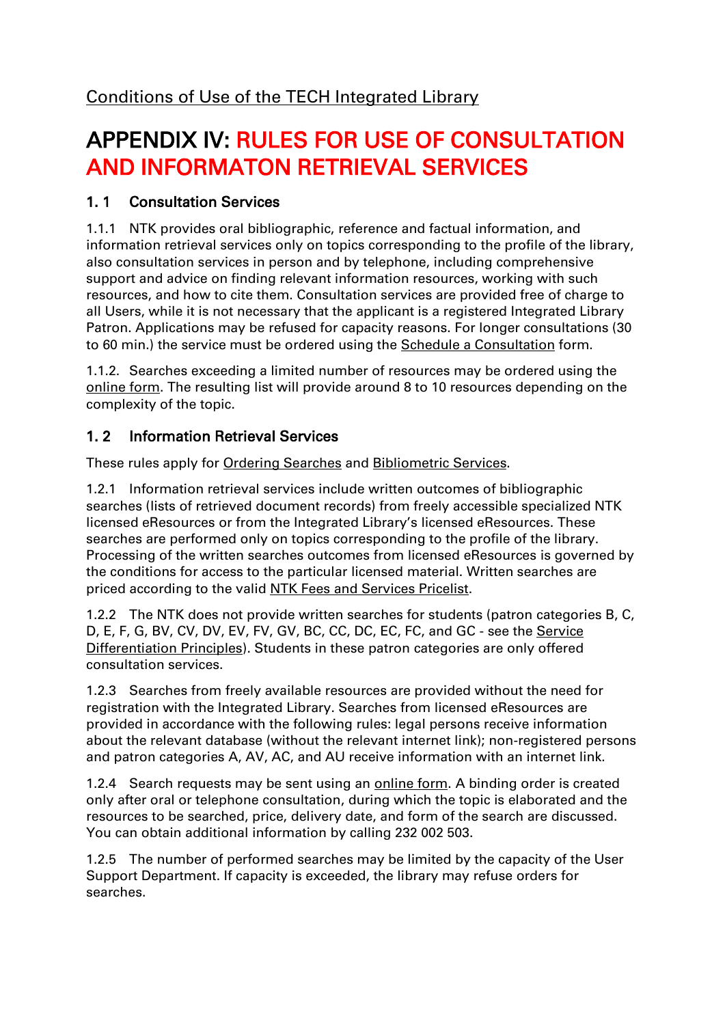## APPENDIX IV: RULES FOR USE OF CONSULTATION AND INFORMATON RETRIEVAL SERVICES

## 1. 1 Consultation Services

1.1.1 NTK provides oral bibliographic, reference and factual information, and information retrieval services only on topics corresponding to the profile of the library, also consultation services in person and by telephone, including comprehensive support and advice on finding relevant information resources, working with such resources, and how to cite them. Consultation services are provided free of charge to all Users, while it is not necessary that the applicant is a registered Integrated Library Patron. Applications may be refused for capacity reasons. For longer consultations (30 to 60 min.) the service must be ordered using the [Schedule a Consultation](/en/83401) form.

1.1.2. Searches exceeding a limited number of resources may be ordered using the [online form.](/en/83649) The resulting list will provide around 8 to 10 resources depending on the complexity of the topic.

## 1. 2 Information Retrieval Services

These rules apply for [Ordering Searches](/en/83652) and [Bibliometric](/en/83534) Services.

1.2.1 Information retrieval services include written outcomes of bibliographic searches (lists of retrieved document records) from freely accessible specialized NTK licensed eResources or from the Integrated Library's licensed eResources. These searches are performed only on topics corresponding to the profile of the library. Processing of the written searches outcomes from licensed eResources is governed by the conditions for access to the particular licensed material. Written searches are priced according to the valid [NTK Fees and Services Pricelist.](/default/files/download/id/4618/)

1.2.2 The NTK does not provide written searches for students (patron categories B, C, D, E, F, G, BV, CV, DV, EV, FV, GV, BC, CC, DC, EC, FC, and GC - see the Service [Differentiation Principles\)](/default/files/download/id/86908/). Students in these patron categories are only offered consultation services.

1.2.3 Searches from freely available resources are provided without the need for registration with the Integrated Library. Searches from licensed eResources are provided in accordance with the following rules: legal persons receive information about the relevant database (without the relevant internet link); non-registered persons and patron categories A, AV, AC, and AU receive information with an internet link.

1.2.4 Search requests may be sent using an [online form.](/en/83405) A binding order is created only after oral or telephone consultation, during which the topic is elaborated and the resources to be searched, price, delivery date, and form of the search are discussed. You can obtain additional information by calling 232 002 503.

1.2.5 The number of performed searches may be limited by the capacity of the User Support Department. If capacity is exceeded, the library may refuse orders for searches.